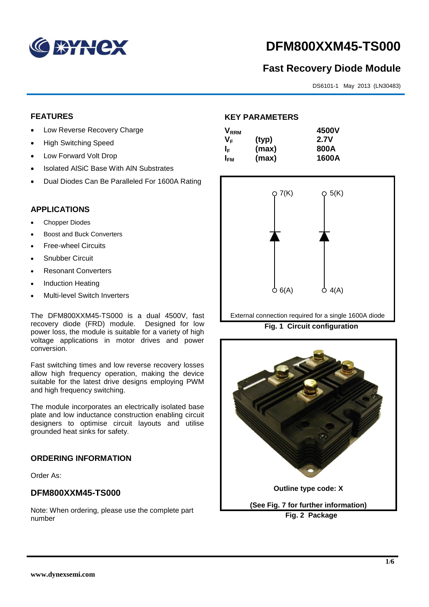

# **DFM800XXM45-TS000**

# **Fast Recovery Diode Module**

DS6101-1 May 2013 (LN30483)

# **FEATURES**

- Low Reverse Recovery Charge
- High Switching Speed
- Low Forward Volt Drop
- Isolated AISiC Base With AIN Substrates
- Dual Diodes Can Be Paralleled For 1600A Rating

### **APPLICATIONS**

- Chopper Diodes
- Boost and Buck Converters
- Free-wheel Circuits
- Snubber Circuit
- Resonant Converters
- Induction Heating
- Multi-level Switch Inverters

The DFM800XXM45-TS000 is a dual 4500V, fast recovery diode (FRD) module. Designed for low power loss, the module is suitable for a variety of high voltage applications in motor drives and power conversion.

Fast switching times and low reverse recovery losses allow high frequency operation, making the device suitable for the latest drive designs employing PWM and high frequency switching.

The module incorporates an electrically isolated base plate and low inductance construction enabling circuit designers to optimise circuit layouts and utilise grounded heat sinks for safety.

# **ORDERING INFORMATION**

Order As:

# **DFM800XXM45-TS000**

Note: When ordering, please use the complete part number

# **KEY PARAMETERS**

| $\mathsf{V}_{\mathsf{RRM}}$ |       | 4500V       |
|-----------------------------|-------|-------------|
| Vғ                          | (typ) | <b>2.7V</b> |
| ΙF                          | (max) | 800A        |
| I <sub>FМ</sub>             | (max) | 1600A       |



External connection required for a single 1600A diode

**Fig. 1 Circuit configuration**

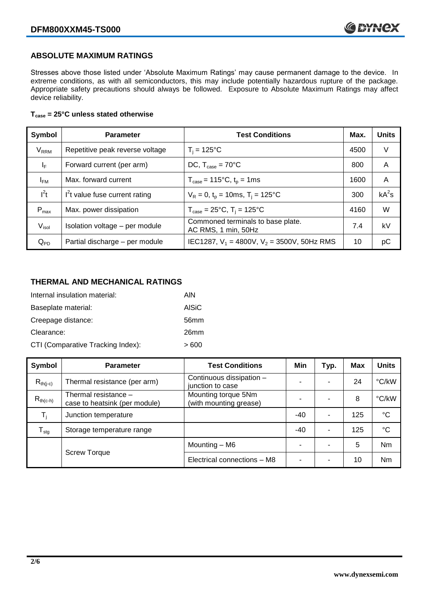# **ABSOLUTE MAXIMUM RATINGS**

Stresses above those listed under 'Absolute Maximum Ratings' may cause permanent damage to the device. In extreme conditions, as with all semiconductors, this may include potentially hazardous rupture of the package. Appropriate safety precautions should always be followed. Exposure to Absolute Maximum Ratings may affect device reliability.

#### **Tcase = 25°C unless stated otherwise**

| Symbol                  | <b>Parameter</b>                | <b>Test Conditions</b>                                                     | Max. | <b>Units</b> |
|-------------------------|---------------------------------|----------------------------------------------------------------------------|------|--------------|
| <b>V<sub>RRM</sub></b>  | Repetitive peak reverse voltage | $T_i = 125$ °C                                                             | 4500 | V            |
| $\mathsf{I}_\mathsf{F}$ | Forward current (per arm)       | DC, $T_{\text{case}} = 70^{\circ}$ C                                       | 800  | A            |
| $I_{FM}$                | Max. forward current            | $T_{\text{case}} = 115^{\circ}C$ , $t_p = 1ms$                             | 1600 | A            |
| $I^2t$                  | $I2t$ value fuse current rating | $V_R = 0$ , $t_p = 10$ ms, $T_i = 125$ °C                                  | 300  | $kA^2s$      |
| $P_{max}$               | Max. power dissipation          | $T_{\text{case}} = 25^{\circ}\text{C}, T_{\text{i}} = 125^{\circ}\text{C}$ | 4160 | W            |
| V <sub>isol</sub>       | Isolation voltage - per module  | Commoned terminals to base plate.<br>AC RMS, 1 min, 50Hz                   | 7.4  | kV           |
| $Q_{PD}$                | Partial discharge - per module  | IEC1287, $V_1$ = 4800V, $V_2$ = 3500V, 50Hz RMS                            | 10   | рC           |

# **THERMAL AND MECHANICAL RATINGS**

| Internal insulation material:     | AIN              |
|-----------------------------------|------------------|
| Baseplate material:               | <b>AISiC</b>     |
| Creepage distance:                | 56 <sub>mm</sub> |
| Clearance:                        | 26 <sub>mm</sub> |
| CTI (Comparative Tracking Index): | > 600            |

| Symbol           | <b>Parameter</b>                                      | <b>Test Conditions</b>                        | Min   | Typ.                     | <b>Max</b> | <b>Units</b> |
|------------------|-------------------------------------------------------|-----------------------------------------------|-------|--------------------------|------------|--------------|
| $R_{th(j-c)}$    | Thermal resistance (per arm)                          | Continuous dissipation -<br>junction to case  | -     |                          | 24         | °C/kW        |
| $R_{th(c-h)}$    | Thermal resistance -<br>case to heatsink (per module) | Mounting torque 5Nm<br>(with mounting grease) |       |                          | 8          | °C/kW        |
| T,               | Junction temperature                                  |                                               | $-40$ |                          | 125        | $^{\circ}C$  |
| $T_{\text{stg}}$ | Storage temperature range                             |                                               | $-40$ | $\overline{\phantom{0}}$ | 125        | $^{\circ}C$  |
|                  |                                                       | Mounting – M6                                 | ۰     |                          | 5          | <b>Nm</b>    |
|                  | <b>Screw Torque</b>                                   | Electrical connections - M8                   | -     | -                        | 10         | <b>Nm</b>    |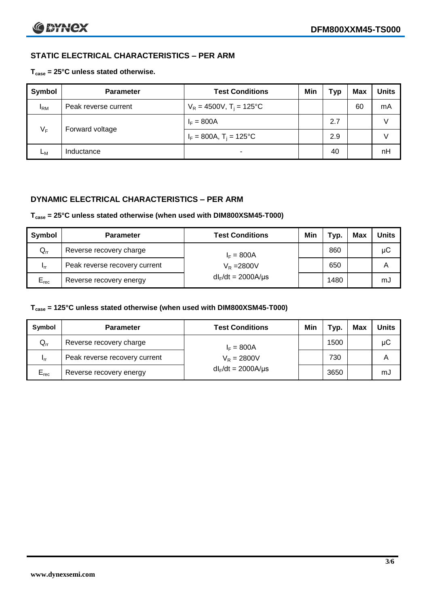# **STATIC ELECTRICAL CHARACTERISTICS – PER ARM**

**Tcase = 25°C unless stated otherwise.**

| <b>Symbol</b> | <b>Parameter</b>     | <b>Test Conditions</b>                 | Min | Тур | <b>Max</b> | <b>Units</b> |
|---------------|----------------------|----------------------------------------|-----|-----|------------|--------------|
| $I_{\rm RM}$  | Peak reverse current | $V_R = 4500V$ , T <sub>i</sub> = 125°C |     |     | 60         | mA           |
| $V_F$         | Forward voltage      | $I_F = 800A$                           |     | 2.7 |            | V            |
|               |                      | $I_F = 800A$ , $T_i = 125^{\circ}C$    |     | 2.9 |            |              |
| Lм            | Inductance           | $\blacksquare$                         |     | 40  |            | nH           |

# **DYNAMIC ELECTRICAL CHARACTERISTICS – PER ARM**

#### **Tcase = 25°C unless stated otherwise (when used with DIM800XSM45-T000)**

| <b>Symbol</b>   | <b>Parameter</b>                        | <b>Test Conditions</b>   | Min | Тур. | Max | Units |
|-----------------|-----------------------------------------|--------------------------|-----|------|-----|-------|
| $Q_{rr}$        | Reverse recovery charge<br>$I_F = 800A$ |                          |     | 860  |     | μC    |
| 1 <sub>rr</sub> | Peak reverse recovery current           | $V_R = 2800V$            |     | 650  |     | Α     |
| $E_{rec}$       | Reverse recovery energy                 | $dl_F/dt = 2000 A/\mu s$ |     | 1480 |     | mJ    |

#### **Tcase = 125°C unless stated otherwise (when used with DIM800XSM45-T000)**

| Symbol                     | <b>Parameter</b>                        | <b>Test Conditions</b>  | Min | Typ. | Max | <b>Units</b> |
|----------------------------|-----------------------------------------|-------------------------|-----|------|-----|--------------|
| $\mathsf{Q}_{\mathsf{rr}}$ | Reverse recovery charge<br>$I_F = 800A$ |                         |     | 1500 |     | μC           |
| - Irr                      | Peak reverse recovery current           | $V_R = 2800V$           |     | 730  |     | Α            |
| $E_{rec}$                  | Reverse recovery energy                 | $dl_F/dt = 2000A/\mu s$ |     | 3650 |     | mJ           |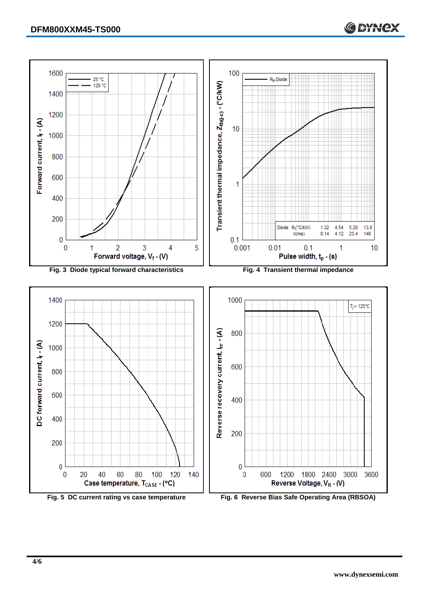

**C BYNCX**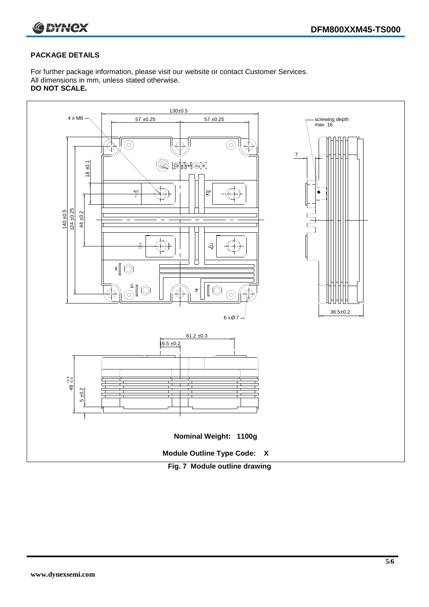

#### **PACKAGE DETAILS**

For further package information, please visit our website or contact Customer Services. All dimensions in mm, unless stated otherwise. **DO NOT SCALE.**